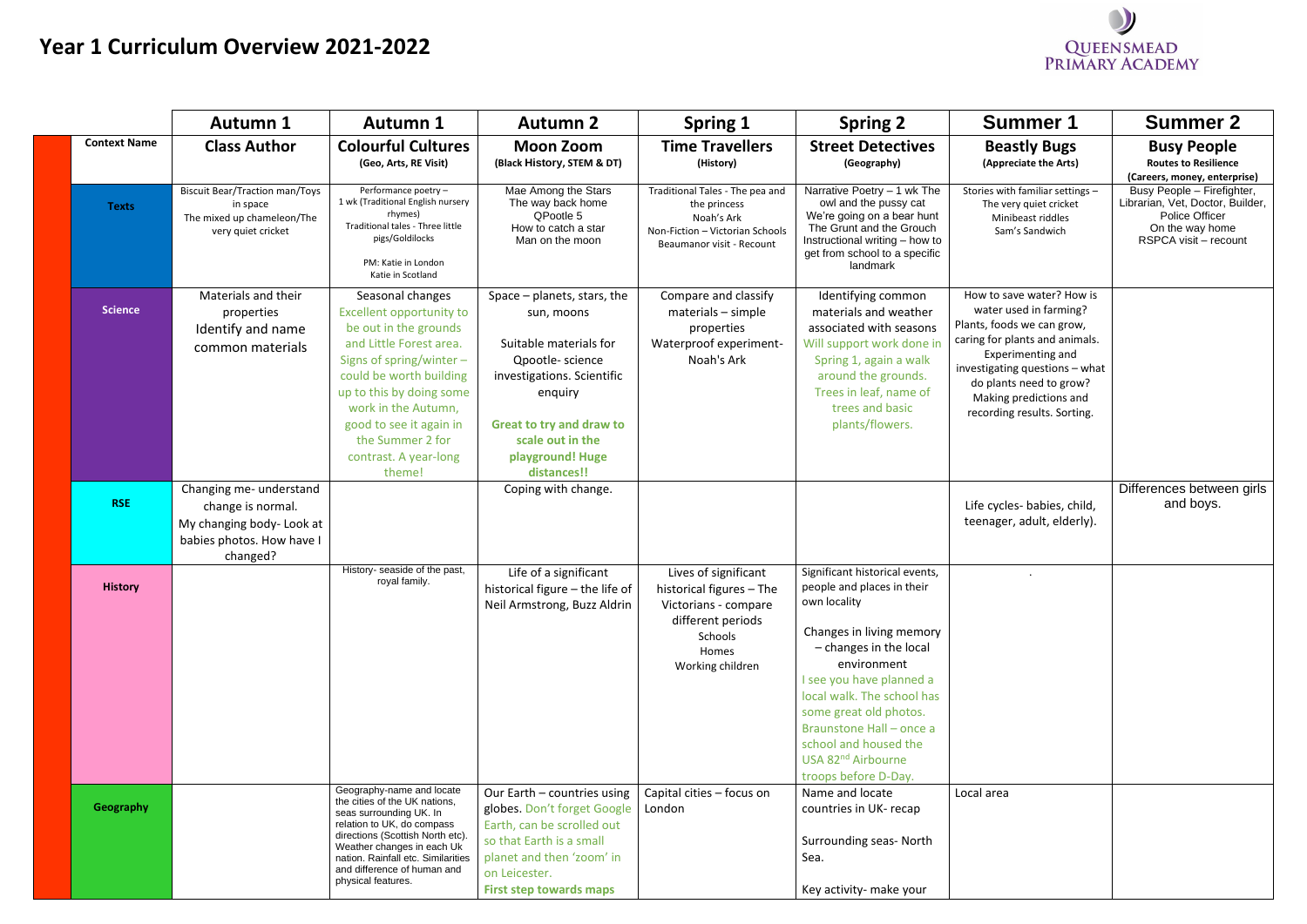## **Year 1 Curriculum Overview 2021-2022**

| <b>Summer 1</b>                                                                                                                                                                                                                                                       | <b>Summer 2</b>                                                                                                              |
|-----------------------------------------------------------------------------------------------------------------------------------------------------------------------------------------------------------------------------------------------------------------------|------------------------------------------------------------------------------------------------------------------------------|
| <b>Beastly Bugs</b><br>(Appreciate the Arts)                                                                                                                                                                                                                          | <b>Busy People</b><br><b>Routes to Resilience</b><br>(Careers, money, enterprise)                                            |
| Stories with familiar settings -<br>The very quiet cricket<br>Minibeast riddles<br>Sam's Sandwich                                                                                                                                                                     | Busy People - Firefighter,<br>Librarian, Vet, Doctor, Builder,<br>Police Officer<br>On the way home<br>RSPCA visit - recount |
| How to save water? How is<br>water used in farming?<br>Plants, foods we can grow,<br>caring for plants and animals.<br><b>Experimenting and</b><br>investigating questions - what<br>do plants need to grow?<br>Making predictions and<br>recording results. Sorting. |                                                                                                                              |
| Life cycles- babies, child,<br>teenager, adult, elderly).                                                                                                                                                                                                             | Differences between girls<br>and boys.                                                                                       |
|                                                                                                                                                                                                                                                                       |                                                                                                                              |
| Local area                                                                                                                                                                                                                                                            |                                                                                                                              |

|                     | <b>Autumn 1</b>                                                                                                    | <b>Autumn 1</b>                                                                                                                                                                                                                                                                                       | <b>Autumn 2</b>                                                                                                                                                                                                             | Spring 1                                                                                                                              | <b>Spring 2</b>                                                                                                                                                                                                                                                                                                                                        | <b>Summer 1</b>                                                                                                                                                                                                                                                | <b>Summer 2</b>                                                                                                   |
|---------------------|--------------------------------------------------------------------------------------------------------------------|-------------------------------------------------------------------------------------------------------------------------------------------------------------------------------------------------------------------------------------------------------------------------------------------------------|-----------------------------------------------------------------------------------------------------------------------------------------------------------------------------------------------------------------------------|---------------------------------------------------------------------------------------------------------------------------------------|--------------------------------------------------------------------------------------------------------------------------------------------------------------------------------------------------------------------------------------------------------------------------------------------------------------------------------------------------------|----------------------------------------------------------------------------------------------------------------------------------------------------------------------------------------------------------------------------------------------------------------|-------------------------------------------------------------------------------------------------------------------|
| <b>Context Name</b> | <b>Class Author</b>                                                                                                | <b>Colourful Cultures</b><br>(Geo, Arts, RE Visit)                                                                                                                                                                                                                                                    | <b>Moon Zoom</b><br>(Black History, STEM & DT)                                                                                                                                                                              | <b>Time Travellers</b><br>(History)                                                                                                   | <b>Street Detectives</b><br>(Geography)                                                                                                                                                                                                                                                                                                                | <b>Beastly Bugs</b><br>(Appreciate the Arts)                                                                                                                                                                                                                   | <b>Busy People</b><br><b>Routes to Resilience</b><br>(Careers, money, enterp                                      |
| <b>Texts</b>        | <b>Biscuit Bear/Traction man/Toys</b><br>in space<br>The mixed up chameleon/The<br>very quiet cricket              | Performance poetry -<br>1 wk (Traditional English nursery<br>rhymes)<br>Traditional tales - Three little<br>pigs/Goldilocks<br>PM: Katie in London<br>Katie in Scotland                                                                                                                               | Mae Among the Stars<br>The way back home<br>QPootle 5<br>How to catch a star<br>Man on the moon                                                                                                                             | Traditional Tales - The pea and<br>the princess<br>Noah's Ark<br>Non-Fiction - Victorian Schools<br>Beaumanor visit - Recount         | Narrative Poetry - 1 wk The<br>owl and the pussy cat<br>We're going on a bear hunt<br>The Grunt and the Grouch<br>Instructional writing - how to<br>get from school to a specific<br>landmark                                                                                                                                                          | Stories with familiar settings -<br>The very quiet cricket<br>Minibeast riddles<br>Sam's Sandwich                                                                                                                                                              | Busy People - Firefigh<br>Librarian, Vet, Doctor, Bu<br>Police Officer<br>On the way home<br>RSPCA visit - recoul |
| <b>Science</b>      | Materials and their<br>properties<br>Identify and name<br>common materials                                         | Seasonal changes<br><b>Excellent opportunity to</b><br>be out in the grounds<br>and Little Forest area.<br>Signs of spring/winter $-$<br>could be worth building<br>up to this by doing some<br>work in the Autumn,<br>good to see it again in<br>the Summer 2 for<br>contrast. A year-long<br>theme! | Space $-$ planets, stars, the<br>sun, moons<br>Suitable materials for<br>Qpootle-science<br>investigations. Scientific<br>enquiry<br><b>Great to try and draw to</b><br>scale out in the<br>playground! Huge<br>distances!! | Compare and classify<br>$materials - simple$<br>properties<br>Waterproof experiment-<br>Noah's Ark                                    | Identifying common<br>materials and weather<br>associated with seasons<br>Will support work done in<br>Spring 1, again a walk<br>around the grounds.<br>Trees in leaf, name of<br>trees and basic<br>plants/flowers.                                                                                                                                   | How to save water? How is<br>water used in farming?<br>Plants, foods we can grow,<br>caring for plants and animals.<br>Experimenting and<br>investigating questions - what<br>do plants need to grow?<br>Making predictions and<br>recording results. Sorting. |                                                                                                                   |
| <b>RSE</b>          | Changing me- understand<br>change is normal.<br>My changing body- Look at<br>babies photos. How have I<br>changed? |                                                                                                                                                                                                                                                                                                       | Coping with change.                                                                                                                                                                                                         |                                                                                                                                       |                                                                                                                                                                                                                                                                                                                                                        | Life cycles- babies, child,<br>teenager, adult, elderly).                                                                                                                                                                                                      | Differences between<br>and boys.                                                                                  |
| <b>History</b>      |                                                                                                                    | History- seaside of the past,<br>royal family.                                                                                                                                                                                                                                                        | Life of a significant<br>historical figure - the life of<br>Neil Armstrong, Buzz Aldrin                                                                                                                                     | Lives of significant<br>historical figures - The<br>Victorians - compare<br>different periods<br>Schools<br>Homes<br>Working children | Significant historical events,<br>people and places in their<br>own locality<br>Changes in living memory<br>$-$ changes in the local<br>environment<br>I see you have planned a<br>local walk. The school has<br>some great old photos.<br>Braunstone Hall - once a<br>school and housed the<br>USA 82 <sup>nd</sup> Airbourne<br>troops before D-Day. |                                                                                                                                                                                                                                                                |                                                                                                                   |
| Geography           |                                                                                                                    | Geography-name and locate<br>the cities of the UK nations,<br>seas surrounding UK. In<br>relation to UK, do compass<br>directions (Scottish North etc).<br>Weather changes in each Uk<br>nation. Rainfall etc. Similarities<br>and difference of human and<br>physical features.                      | Our Earth - countries using<br>globes. Don't forget Google<br>Earth, can be scrolled out<br>so that Earth is a small<br>planet and then 'zoom' in<br>on Leicester.<br><b>First step towards maps</b>                        | Capital cities - focus on<br>London                                                                                                   | Name and locate<br>countries in UK- recap<br>Surrounding seas- North<br>Sea.<br>Key activity- make your                                                                                                                                                                                                                                                | Local area                                                                                                                                                                                                                                                     |                                                                                                                   |

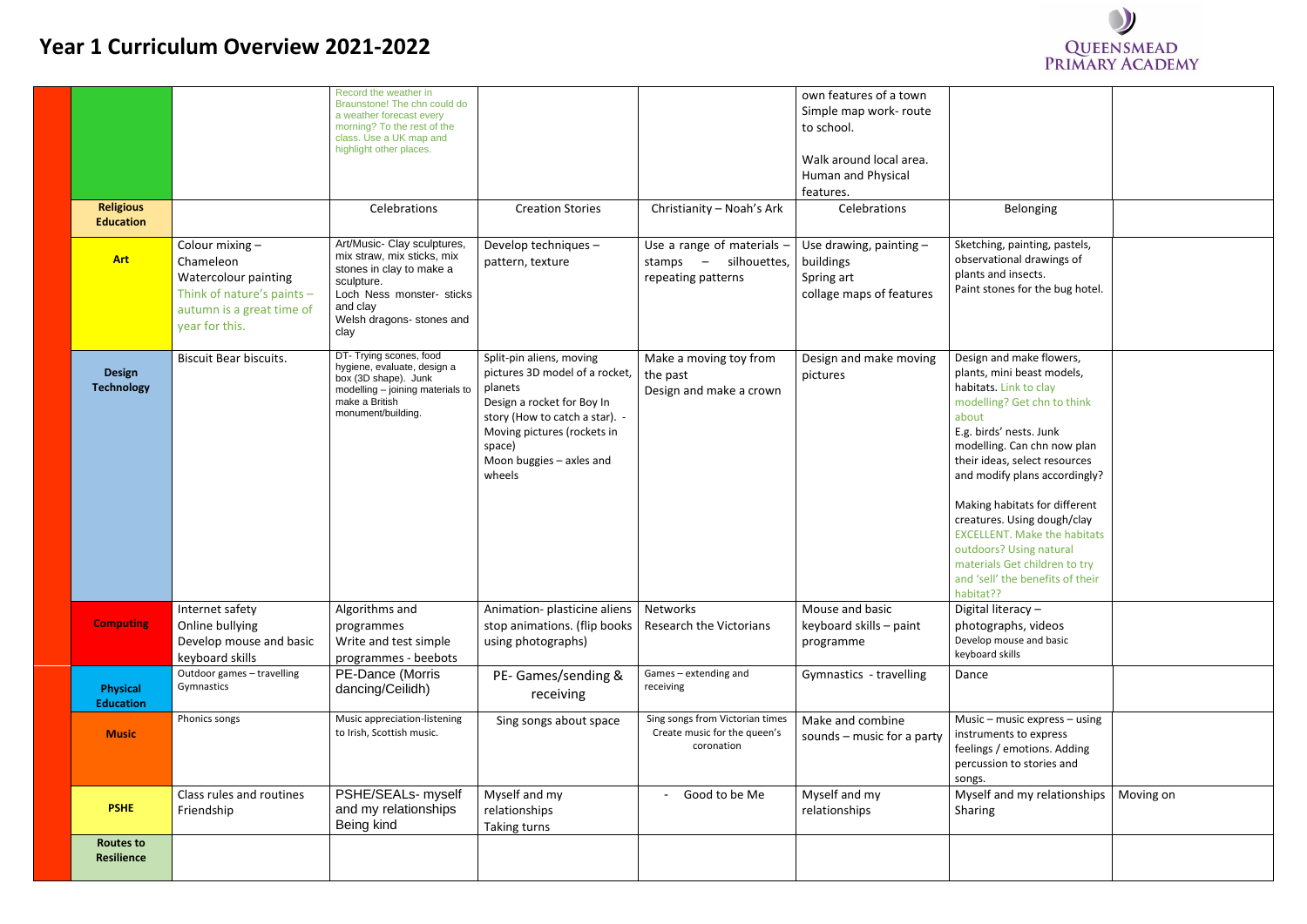## **Year 1 Curriculum Overview 2021-2022**

|                                       |                                                                                                                                   | Record the weather in<br>Braunstone! The chn could do<br>a weather forecast every<br>morning? To the rest of the<br>class. Use a UK map and<br>highlight other places.            |                                                                                                                                                                                                                      |                                                                                  | own features of a town<br>Simple map work- route<br>to school.<br>Walk around local area.<br>Human and Physical<br>features. |                                                                                                                                                                                                                                                                                                                                                                                            |
|---------------------------------------|-----------------------------------------------------------------------------------------------------------------------------------|-----------------------------------------------------------------------------------------------------------------------------------------------------------------------------------|----------------------------------------------------------------------------------------------------------------------------------------------------------------------------------------------------------------------|----------------------------------------------------------------------------------|------------------------------------------------------------------------------------------------------------------------------|--------------------------------------------------------------------------------------------------------------------------------------------------------------------------------------------------------------------------------------------------------------------------------------------------------------------------------------------------------------------------------------------|
| <b>Religious</b><br><b>Education</b>  |                                                                                                                                   | Celebrations                                                                                                                                                                      | <b>Creation Stories</b>                                                                                                                                                                                              | Christianity - Noah's Ark                                                        | Celebrations                                                                                                                 | Belonging                                                                                                                                                                                                                                                                                                                                                                                  |
| <b>Art</b>                            | Colour mixing -<br>Chameleon<br>Watercolour painting<br>Think of nature's paints -<br>autumn is a great time of<br>year for this. | Art/Music- Clay sculptures,<br>mix straw, mix sticks, mix<br>stones in clay to make a<br>sculpture.<br>Loch Ness monster- sticks<br>and clay<br>Welsh dragons- stones and<br>clay | Develop techniques -<br>pattern, texture                                                                                                                                                                             | Use a range of materials $-$<br>silhouettes,<br>stamps $-$<br>repeating patterns | Use drawing, painting $-$<br>buildings<br>Spring art<br>collage maps of features                                             | Sketching, painting, p<br>observational drawin<br>plants and insects.<br>Paint stones for the b                                                                                                                                                                                                                                                                                            |
| <b>Design</b><br><b>Technology</b>    | <b>Biscuit Bear biscuits.</b>                                                                                                     | DT- Trying scones, food<br>hygiene, evaluate, design a<br>box (3D shape). Junk<br>modelling - joining materials to<br>make a British<br>monument/building.                        | Split-pin aliens, moving<br>pictures 3D model of a rocket,<br>planets<br>Design a rocket for Boy In<br>story (How to catch a star). -<br>Moving pictures (rockets in<br>space)<br>Moon buggies - axles and<br>wheels | Make a moving toy from<br>the past<br>Design and make a crown                    | Design and make moving<br>pictures                                                                                           | Design and make flov<br>plants, mini beast mo<br>habitats. Link to clay<br>modelling? Get chn to<br>about<br>E.g. birds' nests. Junk<br>modelling. Can chn no<br>their ideas, select res<br>and modify plans acco<br>Making habitats for d<br>creatures. Using doug<br><b>EXCELLENT. Make the</b><br>outdoors? Using natu<br>materials Get childre<br>and 'sell' the benefits<br>habitat?? |
| <b>Computing</b>                      | Internet safety<br>Online bullying<br>Develop mouse and basic<br>keyboard skills                                                  | Algorithms and<br>programmes<br>Write and test simple<br>programmes - beebots                                                                                                     | Animation- plasticine aliens<br>stop animations. (flip books<br>using photographs)                                                                                                                                   | Networks<br><b>Research the Victorians</b>                                       | Mouse and basic<br>keyboard skills - paint<br>programme                                                                      | Digital literacy -<br>photographs, video<br>Develop mouse and bas<br>keyboard skills                                                                                                                                                                                                                                                                                                       |
| <b>Physical</b><br><b>Education</b>   | Outdoor games - travelling<br>Gymnastics                                                                                          | PE-Dance (Morris<br>dancing/Ceilidh)                                                                                                                                              | PE- Games/sending &<br>receiving                                                                                                                                                                                     | Games - extending and<br>receiving                                               | Gymnastics - travelling                                                                                                      | Dance                                                                                                                                                                                                                                                                                                                                                                                      |
| <b>Music</b>                          | Phonics songs                                                                                                                     | Music appreciation-listening<br>to Irish, Scottish music.                                                                                                                         | Sing songs about space                                                                                                                                                                                               | Sing songs from Victorian times<br>Create music for the queen's<br>coronation    | Make and combine<br>sounds $-$ music for a party                                                                             | Music - music expres<br>instruments to expre.<br>feelings / emotions. /<br>percussion to stories<br>songs.                                                                                                                                                                                                                                                                                 |
| <b>PSHE</b>                           | Class rules and routines<br>Friendship                                                                                            | PSHE/SEALs- myself<br>and my relationships<br>Being kind                                                                                                                          | Myself and my<br>relationships<br>Taking turns                                                                                                                                                                       | Good to be Me                                                                    | Myself and my<br>relationships                                                                                               | Myself and my relat<br>Sharing                                                                                                                                                                                                                                                                                                                                                             |
| <b>Routes to</b><br><b>Resilience</b> |                                                                                                                                   |                                                                                                                                                                                   |                                                                                                                                                                                                                      |                                                                                  |                                                                                                                              |                                                                                                                                                                                                                                                                                                                                                                                            |



| <b>Belonging</b>                                                                                                                                                                                                                                     |           |
|------------------------------------------------------------------------------------------------------------------------------------------------------------------------------------------------------------------------------------------------------|-----------|
| Sketching, painting, pastels,<br>observational drawings of<br>plants and insects.<br>Paint stones for the bug hotel.                                                                                                                                 |           |
| Design and make flowers,<br>plants, mini beast models,<br>habitats. Link to clay<br>modelling? Get chn to think<br>about<br>E.g. birds' nests. Junk<br>modelling. Can chn now plan<br>their ideas, select resources<br>and modify plans accordingly? |           |
| Making habitats for different<br>creatures. Using dough/clay<br><b>EXCELLENT. Make the habitats</b><br>outdoors? Using natural<br>materials Get children to try<br>and 'sell' the benefits of their<br>habitat??                                     |           |
| Digital literacy -<br>photographs, videos<br>Develop mouse and basic<br>keyboard skills                                                                                                                                                              |           |
| Dance                                                                                                                                                                                                                                                |           |
| Music - music express - using<br>instruments to express<br>feelings / emotions. Adding<br>percussion to stories and<br>songs.                                                                                                                        |           |
| Myself and my relationships<br>Sharing                                                                                                                                                                                                               | Moving on |
|                                                                                                                                                                                                                                                      |           |